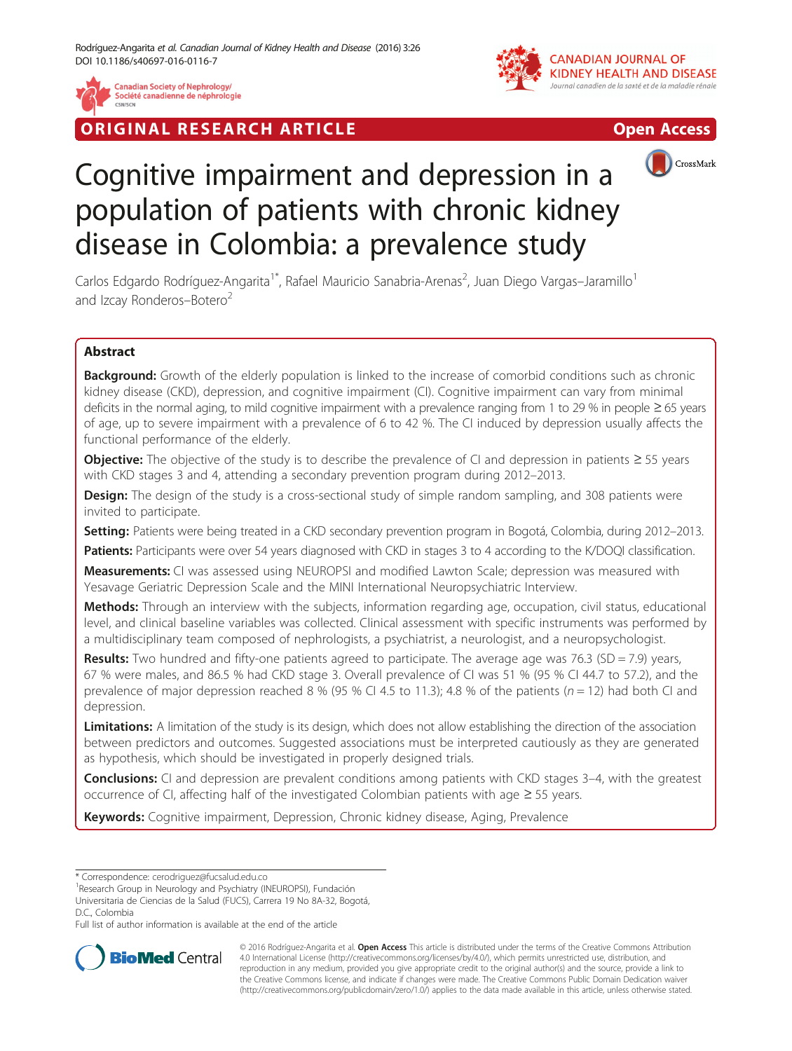

RIGINAL RESEARCH ARTICLE AND CONTROLLER IN THE OPEN ACCESS





# Cognitive impairment and depression in a population of patients with chronic kidney disease in Colombia: a prevalence study

Carlos Edgardo Rodríguez-Angarita<sup>1\*</sup>, Rafael Mauricio Sanabria-Arenas<sup>2</sup>, Juan Diego Vargas–Jaramillo<sup>1</sup> and Izcay Ronderos-Botero<sup>2</sup>

# Abstract

Background: Growth of the elderly population is linked to the increase of comorbid conditions such as chronic kidney disease (CKD), depression, and cognitive impairment (CI). Cognitive impairment can vary from minimal deficits in the normal aging, to mild cognitive impairment with a prevalence ranging from 1 to 29 % in people ≥ 65 years of age, up to severe impairment with a prevalence of 6 to 42 %. The CI induced by depression usually affects the functional performance of the elderly.

Objective: The objective of the study is to describe the prevalence of CI and depression in patients ≥ 55 years with CKD stages 3 and 4, attending a secondary prevention program during 2012–2013.

**Design:** The design of the study is a cross-sectional study of simple random sampling, and 308 patients were invited to participate.

Setting: Patients were being treated in a CKD secondary prevention program in Bogotá, Colombia, during 2012–2013.

Patients: Participants were over 54 years diagnosed with CKD in stages 3 to 4 according to the K/DOQI classification.

Measurements: CI was assessed using NEUROPSI and modified Lawton Scale; depression was measured with Yesavage Geriatric Depression Scale and the MINI International Neuropsychiatric Interview.

Methods: Through an interview with the subjects, information regarding age, occupation, civil status, educational level, and clinical baseline variables was collected. Clinical assessment with specific instruments was performed by a multidisciplinary team composed of nephrologists, a psychiatrist, a neurologist, and a neuropsychologist.

**Results:** Two hundred and fifty-one patients agreed to participate. The average age was 76.3 (SD = 7.9) years, 67 % were males, and 86.5 % had CKD stage 3. Overall prevalence of CI was 51 % (95 % CI 44.7 to 57.2), and the prevalence of major depression reached 8 % (95 % CI 4.5 to 11.3); 4.8 % of the patients ( $n = 12$ ) had both CI and depression.

Limitations: A limitation of the study is its design, which does not allow establishing the direction of the association between predictors and outcomes. Suggested associations must be interpreted cautiously as they are generated as hypothesis, which should be investigated in properly designed trials.

**Conclusions:** CI and depression are prevalent conditions among patients with CKD stages 3–4, with the greatest occurrence of CI, affecting half of the investigated Colombian patients with age ≥ 55 years.

Keywords: Cognitive impairment, Depression, Chronic kidney disease, Aging, Prevalence

\* Correspondence: [cerodriguez@fucsalud.edu.co](mailto:cerodriguez@fucsalud.edu.co) <sup>1</sup>

<sup>1</sup> Research Group in Neurology and Psychiatry (INEUROPSI), Fundación

Universitaria de Ciencias de la Salud (FUCS), Carrera 19 No 8A-32, Bogotá, D.C., Colombia

Full list of author information is available at the end of the article



© 2016 Rodríguez-Angarita et al. Open Access This article is distributed under the terms of the Creative Commons Attribution 4.0 International License ([http://creativecommons.org/licenses/by/4.0/\)](http://creativecommons.org/licenses/by/4.0/), which permits unrestricted use, distribution, and reproduction in any medium, provided you give appropriate credit to the original author(s) and the source, provide a link to the Creative Commons license, and indicate if changes were made. The Creative Commons Public Domain Dedication waiver [\(http://creativecommons.org/publicdomain/zero/1.0/](http://creativecommons.org/publicdomain/zero/1.0/)) applies to the data made available in this article, unless otherwise stated.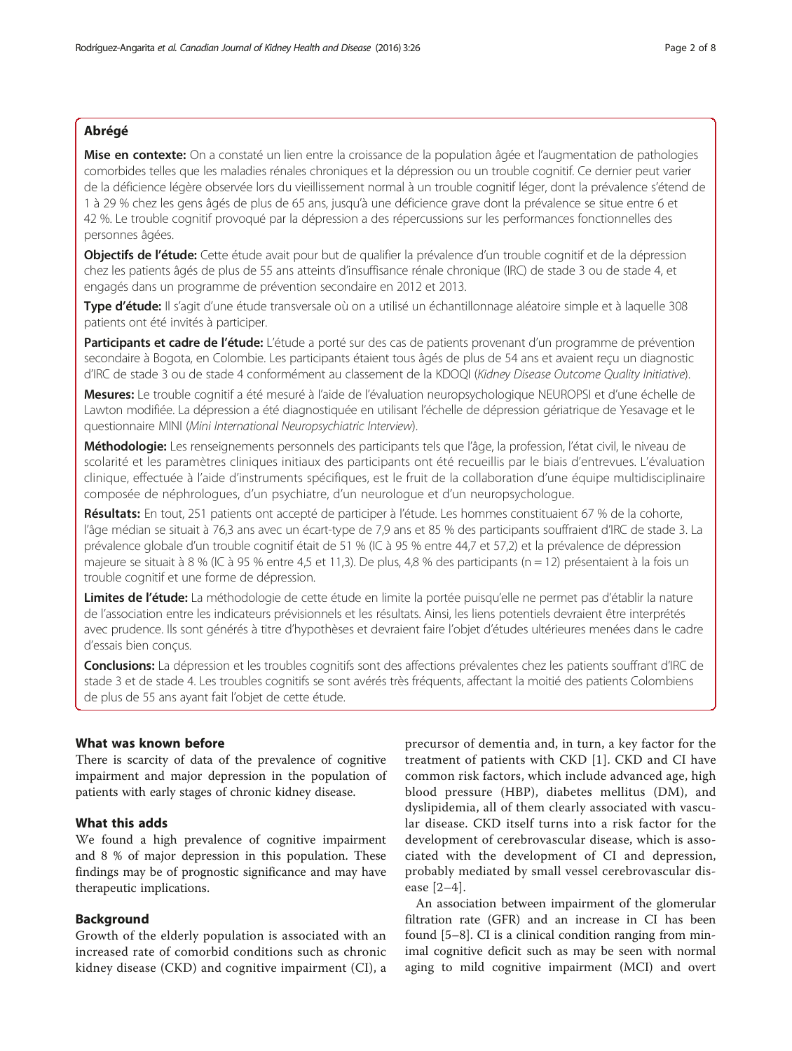# Abrégé

Mise en contexte: On a constaté un lien entre la croissance de la population âgée et l'augmentation de pathologies comorbides telles que les maladies rénales chroniques et la dépression ou un trouble cognitif. Ce dernier peut varier de la déficience légère observée lors du vieillissement normal à un trouble cognitif léger, dont la prévalence s'étend de 1 à 29 % chez les gens âgés de plus de 65 ans, jusqu'à une déficience grave dont la prévalence se situe entre 6 et 42 %. Le trouble cognitif provoqué par la dépression a des répercussions sur les performances fonctionnelles des personnes âgées.

Objectifs de l'étude: Cette étude avait pour but de qualifier la prévalence d'un trouble cognitif et de la dépression chez les patients âgés de plus de 55 ans atteints d'insuffisance rénale chronique (IRC) de stade 3 ou de stade 4, et engagés dans un programme de prévention secondaire en 2012 et 2013.

Type d'étude: Il s'agit d'une étude transversale où on a utilisé un échantillonnage aléatoire simple et à laquelle 308 patients ont été invités à participer.

Participants et cadre de l'étude: L'étude a porté sur des cas de patients provenant d'un programme de prévention secondaire à Bogota, en Colombie. Les participants étaient tous âgés de plus de 54 ans et avaient reçu un diagnostic d'IRC de stade 3 ou de stade 4 conformément au classement de la KDOQI (Kidney Disease Outcome Quality Initiative).

Mesures: Le trouble cognitif a été mesuré à l'aide de l'évaluation neuropsychologique NEUROPSI et d'une échelle de Lawton modifiée. La dépression a été diagnostiquée en utilisant l'échelle de dépression gériatrique de Yesavage et le questionnaire MINI (Mini International Neuropsychiatric Interview).

Méthodologie: Les renseignements personnels des participants tels que l'âge, la profession, l'état civil, le niveau de scolarité et les paramètres cliniques initiaux des participants ont été recueillis par le biais d'entrevues. L'évaluation clinique, effectuée à l'aide d'instruments spécifiques, est le fruit de la collaboration d'une équipe multidisciplinaire composée de néphrologues, d'un psychiatre, d'un neurologue et d'un neuropsychologue.

Résultats: En tout, 251 patients ont accepté de participer à l'étude. Les hommes constituaient 67 % de la cohorte, l'âge médian se situait à 76,3 ans avec un écart-type de 7,9 ans et 85 % des participants souffraient d'IRC de stade 3. La prévalence globale d'un trouble cognitif était de 51 % (IC à 95 % entre 44,7 et 57,2) et la prévalence de dépression majeure se situait à 8 % (IC à 95 % entre 4,5 et 11,3). De plus, 4,8 % des participants (n = 12) présentaient à la fois un trouble cognitif et une forme de dépression.

Limites de l'étude: La méthodologie de cette étude en limite la portée puisqu'elle ne permet pas d'établir la nature de l'association entre les indicateurs prévisionnels et les résultats. Ainsi, les liens potentiels devraient être interprétés avec prudence. Ils sont générés à titre d'hypothèses et devraient faire l'objet d'études ultérieures menées dans le cadre d'essais bien conçus.

Conclusions: La dépression et les troubles cognitifs sont des affections prévalentes chez les patients souffrant d'IRC de stade 3 et de stade 4. Les troubles cognitifs se sont avérés très fréquents, affectant la moitié des patients Colombiens de plus de 55 ans ayant fait l'objet de cette étude.

#### What was known before

There is scarcity of data of the prevalence of cognitive impairment and major depression in the population of patients with early stages of chronic kidney disease.

## What this adds

We found a high prevalence of cognitive impairment and 8 % of major depression in this population. These findings may be of prognostic significance and may have therapeutic implications.

## Background

Growth of the elderly population is associated with an increased rate of comorbid conditions such as chronic kidney disease (CKD) and cognitive impairment (CI), a

precursor of dementia and, in turn, a key factor for the treatment of patients with CKD [\[1](#page-6-0)]. CKD and CI have common risk factors, which include advanced age, high blood pressure (HBP), diabetes mellitus (DM), and dyslipidemia, all of them clearly associated with vascular disease. CKD itself turns into a risk factor for the development of cerebrovascular disease, which is associated with the development of CI and depression, probably mediated by small vessel cerebrovascular disease [[2](#page-6-0)–[4\]](#page-6-0).

An association between impairment of the glomerular filtration rate (GFR) and an increase in CI has been found [[5](#page-6-0)–[8\]](#page-6-0). CI is a clinical condition ranging from minimal cognitive deficit such as may be seen with normal aging to mild cognitive impairment (MCI) and overt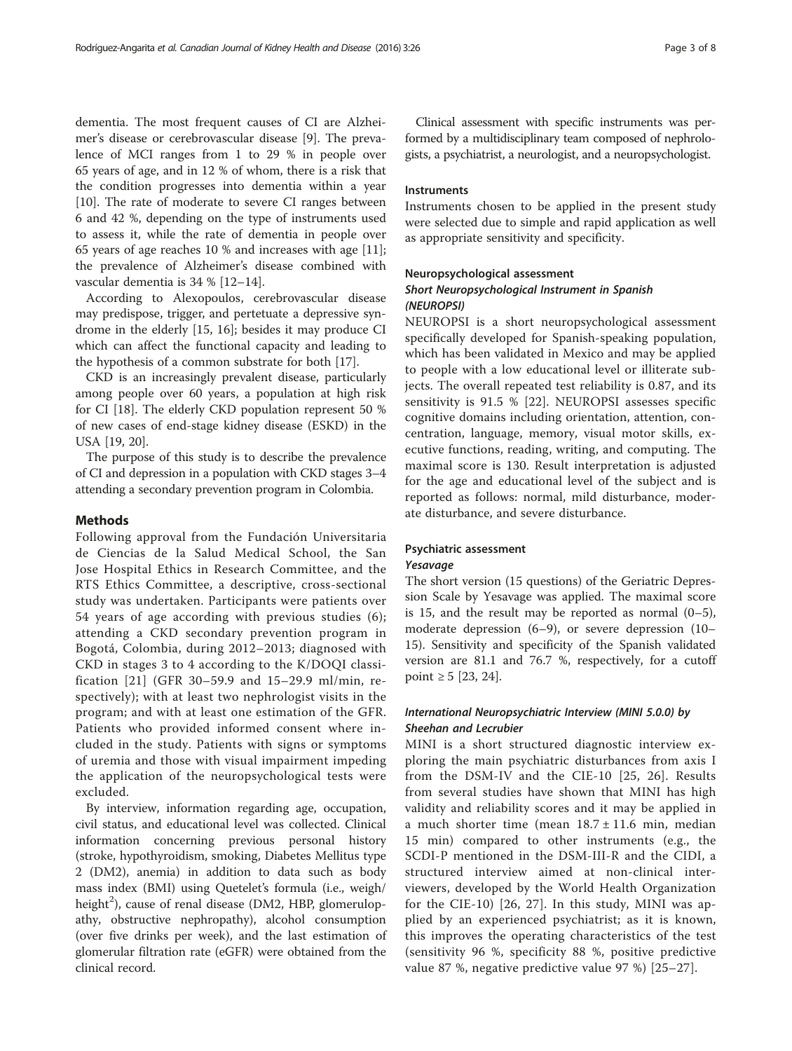dementia. The most frequent causes of CI are Alzheimer's disease or cerebrovascular disease [[9\]](#page-6-0). The prevalence of MCI ranges from 1 to 29 % in people over 65 years of age, and in 12 % of whom, there is a risk that the condition progresses into dementia within a year [[10\]](#page-6-0). The rate of moderate to severe CI ranges between 6 and 42 %, depending on the type of instruments used to assess it, while the rate of dementia in people over 65 years of age reaches 10 % and increases with age [\[11](#page-6-0)]; the prevalence of Alzheimer's disease combined with vascular dementia is 34 % [\[12](#page-6-0)–[14\]](#page-6-0).

According to Alexopoulos, cerebrovascular disease may predispose, trigger, and pertetuate a depressive syndrome in the elderly [\[15, 16](#page-6-0)]; besides it may produce CI which can affect the functional capacity and leading to the hypothesis of a common substrate for both [\[17](#page-6-0)].

CKD is an increasingly prevalent disease, particularly among people over 60 years, a population at high risk for CI [\[18](#page-6-0)]. The elderly CKD population represent 50 % of new cases of end-stage kidney disease (ESKD) in the USA [[19, 20\]](#page-6-0).

The purpose of this study is to describe the prevalence of CI and depression in a population with CKD stages 3–4 attending a secondary prevention program in Colombia.

#### Methods

Following approval from the Fundación Universitaria de Ciencias de la Salud Medical School, the San Jose Hospital Ethics in Research Committee, and the RTS Ethics Committee, a descriptive, cross-sectional study was undertaken. Participants were patients over 54 years of age according with previous studies (6); attending a CKD secondary prevention program in Bogotá, Colombia, during 2012–2013; diagnosed with CKD in stages 3 to 4 according to the K/DOQI classification [[21](#page-7-0)] (GFR 30–59.9 and 15–29.9 ml/min, respectively); with at least two nephrologist visits in the program; and with at least one estimation of the GFR. Patients who provided informed consent where included in the study. Patients with signs or symptoms of uremia and those with visual impairment impeding the application of the neuropsychological tests were excluded.

By interview, information regarding age, occupation, civil status, and educational level was collected. Clinical information concerning previous personal history (stroke, hypothyroidism, smoking, Diabetes Mellitus type 2 (DM2), anemia) in addition to data such as body mass index (BMI) using Quetelet's formula (i.e., weigh/ height<sup>2</sup>), cause of renal disease (DM2, HBP, glomerulopathy, obstructive nephropathy), alcohol consumption (over five drinks per week), and the last estimation of glomerular filtration rate (eGFR) were obtained from the clinical record.

Clinical assessment with specific instruments was performed by a multidisciplinary team composed of nephrologists, a psychiatrist, a neurologist, and a neuropsychologist.

#### Instruments

Instruments chosen to be applied in the present study were selected due to simple and rapid application as well as appropriate sensitivity and specificity.

### Neuropsychological assessment

## Short Neuropsychological Instrument in Spanish (NEUROPSI)

NEUROPSI is a short neuropsychological assessment specifically developed for Spanish-speaking population, which has been validated in Mexico and may be applied to people with a low educational level or illiterate subjects. The overall repeated test reliability is 0.87, and its sensitivity is 91.5 % [[22\]](#page-7-0). NEUROPSI assesses specific cognitive domains including orientation, attention, concentration, language, memory, visual motor skills, executive functions, reading, writing, and computing. The maximal score is 130. Result interpretation is adjusted for the age and educational level of the subject and is reported as follows: normal, mild disturbance, moderate disturbance, and severe disturbance.

## Psychiatric assessment Yesavage

The short version (15 questions) of the Geriatric Depression Scale by Yesavage was applied. The maximal score is 15, and the result may be reported as normal  $(0-5)$ , moderate depression (6–9), or severe depression (10– 15). Sensitivity and specificity of the Spanish validated version are 81.1 and 76.7 %, respectively, for a cutoff point ≥ 5 [[23](#page-7-0), [24](#page-7-0)].

# International Neuropsychiatric Interview (MINI 5.0.0) by Sheehan and Lecrubier

MINI is a short structured diagnostic interview exploring the main psychiatric disturbances from axis I from the DSM-IV and the CIE-10 [[25](#page-7-0), [26](#page-7-0)]. Results from several studies have shown that MINI has high validity and reliability scores and it may be applied in a much shorter time (mean  $18.7 \pm 11.6$  min, median 15 min) compared to other instruments (e.g., the SCDI-P mentioned in the DSM-III-R and the CIDI, a structured interview aimed at non-clinical interviewers, developed by the World Health Organization for the CIE-10) [[26](#page-7-0), [27\]](#page-7-0). In this study, MINI was applied by an experienced psychiatrist; as it is known, this improves the operating characteristics of the test (sensitivity 96 %, specificity 88 %, positive predictive value 87 %, negative predictive value 97 %) [[25](#page-7-0)–[27](#page-7-0)].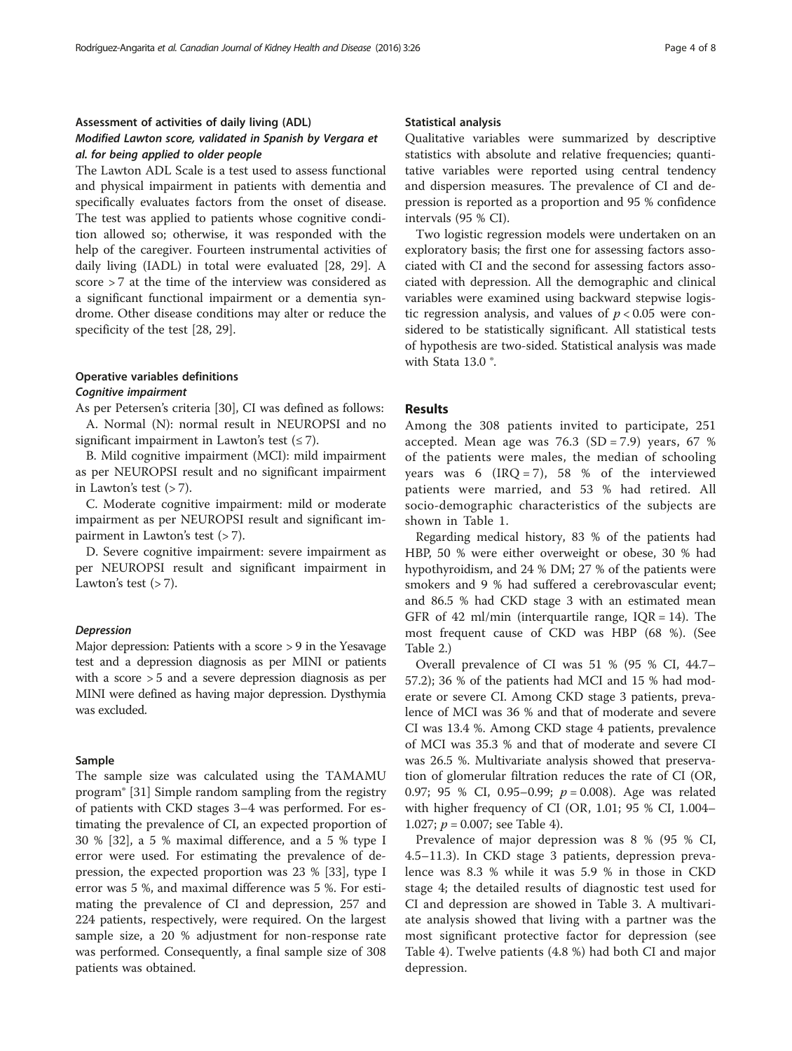# Assessment of activities of daily living (ADL) Modified Lawton score, validated in Spanish by Vergara et al. for being applied to older people

The Lawton ADL Scale is a test used to assess functional and physical impairment in patients with dementia and specifically evaluates factors from the onset of disease. The test was applied to patients whose cognitive condition allowed so; otherwise, it was responded with the help of the caregiver. Fourteen instrumental activities of daily living (IADL) in total were evaluated [\[28](#page-7-0), [29\]](#page-7-0). A score > 7 at the time of the interview was considered as a significant functional impairment or a dementia syndrome. Other disease conditions may alter or reduce the specificity of the test [\[28](#page-7-0), [29](#page-7-0)].

## Operative variables definitions Cognitive impairment

As per Petersen's criteria [\[30](#page-7-0)], CI was defined as follows: A. Normal (N): normal result in NEUROPSI and no significant impairment in Lawton's test  $(\leq 7)$ .

B. Mild cognitive impairment (MCI): mild impairment as per NEUROPSI result and no significant impairment in Lawton's test  $($  > 7 $)$ .

C. Moderate cognitive impairment: mild or moderate impairment as per NEUROPSI result and significant impairment in Lawton's test (> 7).

D. Severe cognitive impairment: severe impairment as per NEUROPSI result and significant impairment in Lawton's test  $($  > 7 $)$ .

#### Depression

Major depression: Patients with a score > 9 in the Yesavage test and a depression diagnosis as per MINI or patients with a score > 5 and a severe depression diagnosis as per MINI were defined as having major depression. Dysthymia was excluded.

#### Sample

The sample size was calculated using the TAMAMU program® [[31](#page-7-0)] Simple random sampling from the registry of patients with CKD stages 3–4 was performed. For estimating the prevalence of CI, an expected proportion of 30 % [[32\]](#page-7-0), a 5 % maximal difference, and a 5 % type I error were used. For estimating the prevalence of depression, the expected proportion was 23 % [\[33](#page-7-0)], type I error was 5 %, and maximal difference was 5 %. For estimating the prevalence of CI and depression, 257 and 224 patients, respectively, were required. On the largest sample size, a 20 % adjustment for non-response rate was performed. Consequently, a final sample size of 308 patients was obtained.

#### Statistical analysis

Qualitative variables were summarized by descriptive statistics with absolute and relative frequencies; quantitative variables were reported using central tendency and dispersion measures. The prevalence of CI and depression is reported as a proportion and 95 % confidence intervals (95 % CI).

Two logistic regression models were undertaken on an exploratory basis; the first one for assessing factors associated with CI and the second for assessing factors associated with depression. All the demographic and clinical variables were examined using backward stepwise logistic regression analysis, and values of  $p < 0.05$  were considered to be statistically significant. All statistical tests of hypothesis are two-sided. Statistical analysis was made with Stata 13.0 °.

#### Results

Among the 308 patients invited to participate, 251 accepted. Mean age was  $76.3$  (SD = 7.9) years, 67 % of the patients were males, the median of schooling years was 6 (IRQ = 7), 58 % of the interviewed patients were married, and 53 % had retired. All socio-demographic characteristics of the subjects are shown in Table [1](#page-4-0).

Regarding medical history, 83 % of the patients had HBP, 50 % were either overweight or obese, 30 % had hypothyroidism, and 24 % DM; 27 % of the patients were smokers and 9 % had suffered a cerebrovascular event; and 86.5 % had CKD stage 3 with an estimated mean GFR of 42 ml/min (interquartile range,  $IQR = 14$ ). The most frequent cause of CKD was HBP (68 %). (See Table [2.](#page-5-0))

Overall prevalence of CI was 51 % (95 % CI, 44.7– 57.2); 36 % of the patients had MCI and 15 % had moderate or severe CI. Among CKD stage 3 patients, prevalence of MCI was 36 % and that of moderate and severe CI was 13.4 %. Among CKD stage 4 patients, prevalence of MCI was 35.3 % and that of moderate and severe CI was 26.5 %. Multivariate analysis showed that preservation of glomerular filtration reduces the rate of CI (OR, 0.97; 95 % CI, 0.95-0.99;  $p = 0.008$ ). Age was related with higher frequency of CI (OR, 1.01; 95 % CI, 1.004– 1.027;  $p = 0.007$ ; see Table [4](#page-5-0)).

Prevalence of major depression was 8 % (95 % CI, 4.5–11.3). In CKD stage 3 patients, depression prevalence was 8.3 % while it was 5.9 % in those in CKD stage 4; the detailed results of diagnostic test used for CI and depression are showed in Table [3](#page-5-0). A multivariate analysis showed that living with a partner was the most significant protective factor for depression (see Table [4](#page-5-0)). Twelve patients (4.8 %) had both CI and major depression.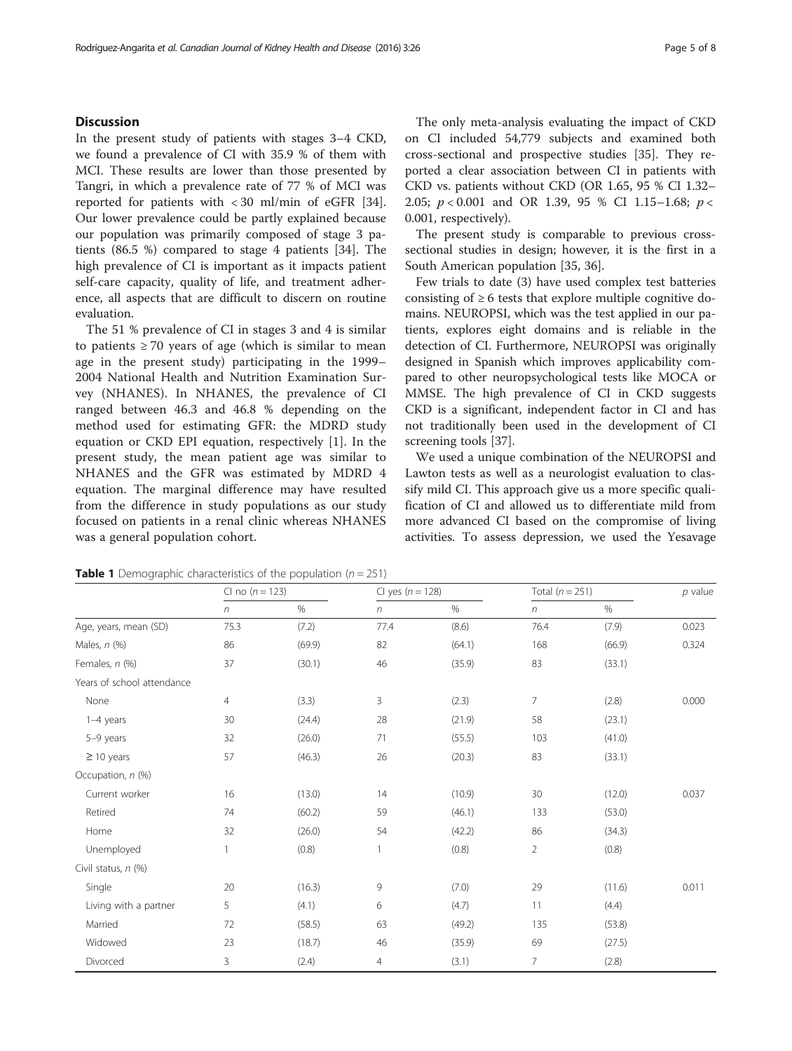## <span id="page-4-0"></span>**Discussion**

In the present study of patients with stages 3–4 CKD, we found a prevalence of CI with 35.9 % of them with MCI. These results are lower than those presented by Tangri, in which a prevalence rate of 77 % of MCI was reported for patients with < 30 ml/min of eGFR [\[34](#page-7-0)]. Our lower prevalence could be partly explained because our population was primarily composed of stage 3 patients (86.5 %) compared to stage 4 patients [[34\]](#page-7-0). The high prevalence of CI is important as it impacts patient self-care capacity, quality of life, and treatment adherence, all aspects that are difficult to discern on routine evaluation.

The 51 % prevalence of CI in stages 3 and 4 is similar to patients  $\geq 70$  years of age (which is similar to mean age in the present study) participating in the 1999– 2004 National Health and Nutrition Examination Survey (NHANES). In NHANES, the prevalence of CI ranged between 46.3 and 46.8 % depending on the method used for estimating GFR: the MDRD study equation or CKD EPI equation, respectively [\[1](#page-6-0)]. In the present study, the mean patient age was similar to NHANES and the GFR was estimated by MDRD 4 equation. The marginal difference may have resulted from the difference in study populations as our study focused on patients in a renal clinic whereas NHANES was a general population cohort.

The only meta-analysis evaluating the impact of CKD on CI included 54,779 subjects and examined both cross-sectional and prospective studies [\[35](#page-7-0)]. They reported a clear association between CI in patients with CKD vs. patients without CKD (OR 1.65, 95 % CI 1.32– 2.05;  $p < 0.001$  and OR 1.39, 95 % CI 1.15-1.68;  $p <$ 0.001, respectively).

The present study is comparable to previous crosssectional studies in design; however, it is the first in a South American population [[35](#page-7-0), [36](#page-7-0)].

Few trials to date (3) have used complex test batteries consisting of  $\geq 6$  tests that explore multiple cognitive domains. NEUROPSI, which was the test applied in our patients, explores eight domains and is reliable in the detection of CI. Furthermore, NEUROPSI was originally designed in Spanish which improves applicability compared to other neuropsychological tests like MOCA or MMSE. The high prevalence of CI in CKD suggests CKD is a significant, independent factor in CI and has not traditionally been used in the development of CI screening tools [\[37](#page-7-0)].

We used a unique combination of the NEUROPSI and Lawton tests as well as a neurologist evaluation to classify mild CI. This approach give us a more specific qualification of CI and allowed us to differentiate mild from more advanced CI based on the compromise of living activities. To assess depression, we used the Yesavage

|                            | CI no $(n = 123)$ |        | CI yes $(n = 128)$ |        | Total $(n = 251)$ |        | $p$ value |
|----------------------------|-------------------|--------|--------------------|--------|-------------------|--------|-----------|
|                            | $\sqrt{n}$        | $\%$   | $\eta$             | $\%$   | n                 | $\%$   |           |
| Age, years, mean (SD)      | 75.3              | (7.2)  | 77.4               | (8.6)  | 76.4              | (7.9)  | 0.023     |
| Males, $n$ (%)             | 86                | (69.9) | 82                 | (64.1) | 168               | (66.9) | 0.324     |
| Females, n (%)             | 37                | (30.1) | 46                 | (35.9) | 83                | (33.1) |           |
| Years of school attendance |                   |        |                    |        |                   |        |           |
| None                       | 4                 | (3.3)  | 3                  | (2.3)  | 7                 | (2.8)  | 0.000     |
| 1-4 years                  | 30                | (24.4) | 28                 | (21.9) | 58                | (23.1) |           |
| 5-9 years                  | 32                | (26.0) | 71                 | (55.5) | 103               | (41.0) |           |
| $\geq$ 10 years            | 57                | (46.3) | 26                 | (20.3) | 83                | (33.1) |           |
| Occupation, n (%)          |                   |        |                    |        |                   |        |           |
| Current worker             | 16                | (13.0) | 14                 | (10.9) | 30                | (12.0) | 0.037     |
| Retired                    | 74                | (60.2) | 59                 | (46.1) | 133               | (53.0) |           |
| Home                       | 32                | (26.0) | 54                 | (42.2) | 86                | (34.3) |           |
| Unemployed                 | 1                 | (0.8)  | 1                  | (0.8)  | 2                 | (0.8)  |           |
| Civil status, n (%)        |                   |        |                    |        |                   |        |           |
| Single                     | 20                | (16.3) | 9                  | (7.0)  | 29                | (11.6) | 0.011     |
| Living with a partner      | 5                 | (4.1)  | 6                  | (4.7)  | 11                | (4.4)  |           |
| Married                    | 72                | (58.5) | 63                 | (49.2) | 135               | (53.8) |           |
| Widowed                    | 23                | (18.7) | 46                 | (35.9) | 69                | (27.5) |           |
| Divorced                   | 3                 | (2.4)  | $\overline{4}$     | (3.1)  | $\overline{7}$    | (2.8)  |           |

**Table 1** Demographic characteristics of the population ( $n = 251$ )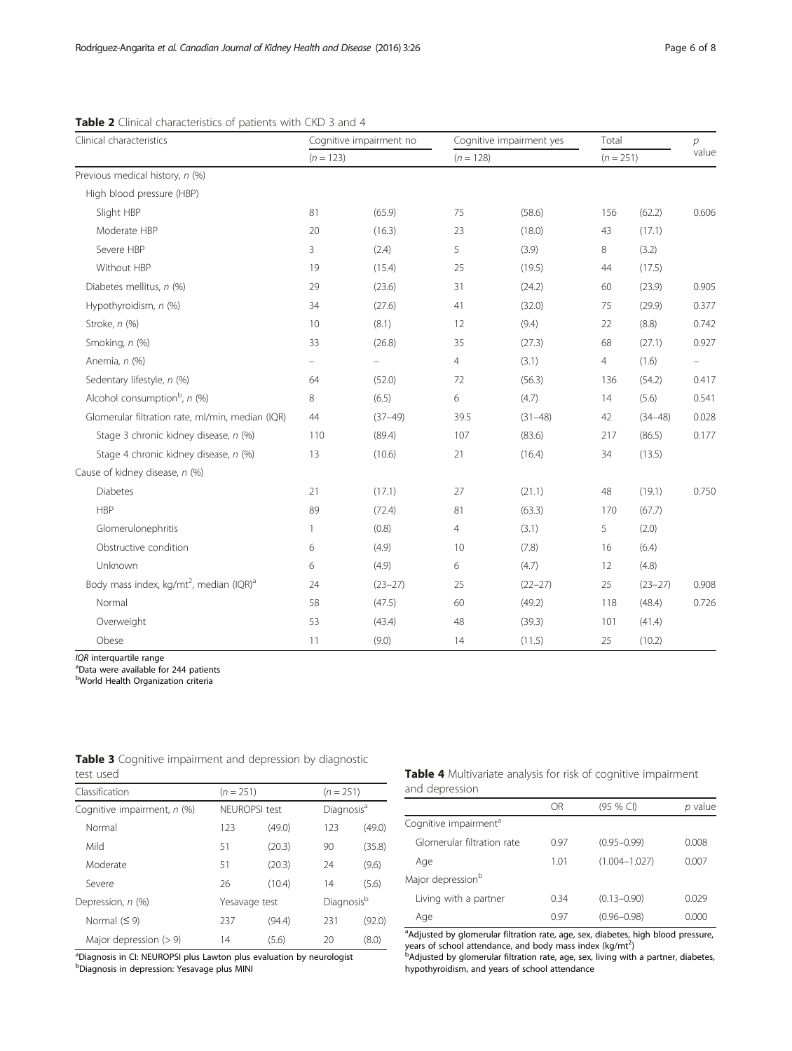| Clinical characteristics                                        | Cognitive impairment no<br>$(n = 123)$ |                   | Cognitive impairment yes<br>$(n = 128)$ |             | Total<br>$(n = 251)$ |             | $\overline{p}$<br>value |
|-----------------------------------------------------------------|----------------------------------------|-------------------|-----------------------------------------|-------------|----------------------|-------------|-------------------------|
|                                                                 |                                        |                   |                                         |             |                      |             |                         |
| Previous medical history, n (%)                                 |                                        |                   |                                         |             |                      |             |                         |
| High blood pressure (HBP)                                       |                                        |                   |                                         |             |                      |             |                         |
| Slight HBP                                                      | 81                                     | (65.9)            | 75                                      | (58.6)      | 156                  | (62.2)      | 0.606                   |
| Moderate HBP                                                    | 20                                     | (16.3)            | 23                                      | (18.0)      | 43                   | (17.1)      |                         |
| Severe HBP                                                      | 3                                      | (2.4)             | 5                                       | (3.9)       | 8                    | (3.2)       |                         |
| Without HBP                                                     | 19                                     | (15.4)            | 25                                      | (19.5)      | 44                   | (17.5)      |                         |
| Diabetes mellitus, n (%)                                        | 29                                     | (23.6)            | 31                                      | (24.2)      | 60                   | (23.9)      | 0.905                   |
| Hypothyroidism, n (%)                                           | 34                                     | (27.6)            | 41                                      | (32.0)      | 75                   | (29.9)      | 0.377                   |
| Stroke, n (%)                                                   | 10                                     | (8.1)             | 12                                      | (9.4)       | 22                   | (8.8)       | 0.742                   |
| Smoking, n (%)                                                  | 33                                     | (26.8)            | 35                                      | (27.3)      | 68                   | (27.1)      | 0.927                   |
| Anemia, n (%)                                                   | $\overline{\phantom{0}}$               | $\qquad \qquad -$ | $\overline{4}$                          | (3.1)       | 4                    | (1.6)       | -                       |
| Sedentary lifestyle, n (%)                                      | 64                                     | (52.0)            | 72                                      | (56.3)      | 136                  | (54.2)      | 0.417                   |
| Alcohol consumption <sup>b</sup> , $n$ (%)                      | 8                                      | (6.5)             | 6                                       | (4.7)       | 14                   | (5.6)       | 0.541                   |
| Glomerular filtration rate, ml/min, median (IQR)                | 44                                     | $(37-49)$         | 39.5                                    | $(31 - 48)$ | 42                   | $(34 - 48)$ | 0.028                   |
| Stage 3 chronic kidney disease, n (%)                           | 110                                    | (89.4)            | 107                                     | (83.6)      | 217                  | (86.5)      | 0.177                   |
| Stage 4 chronic kidney disease, n (%)                           | 13                                     | (10.6)            | 21                                      | (16.4)      | 34                   | (13.5)      |                         |
| Cause of kidney disease, n (%)                                  |                                        |                   |                                         |             |                      |             |                         |
| <b>Diabetes</b>                                                 | 21                                     | (17.1)            | 27                                      | (21.1)      | 48                   | (19.1)      | 0.750                   |
| <b>HBP</b>                                                      | 89                                     | (72.4)            | 81                                      | (63.3)      | 170                  | (67.7)      |                         |
| Glomerulonephritis                                              | 1                                      | (0.8)             | 4                                       | (3.1)       | 5                    | (2.0)       |                         |
| Obstructive condition                                           | 6                                      | (4.9)             | 10                                      | (7.8)       | 16                   | (6.4)       |                         |
| Unknown                                                         | 6                                      | (4.9)             | 6                                       | (4.7)       | 12                   | (4.8)       |                         |
| Body mass index, kg/mt <sup>2</sup> , median (IQR) <sup>a</sup> | 24                                     | $(23 - 27)$       | 25                                      | $(22 - 27)$ | 25                   | $(23 - 27)$ | 0.908                   |
| Normal                                                          | 58                                     | (47.5)            | 60                                      | (49.2)      | 118                  | (48.4)      | 0.726                   |
| Overweight                                                      | 53                                     | (43.4)            | 48                                      | (39.3)      | 101                  | (41.4)      |                         |
| Obese                                                           | 11                                     | (9.0)             | 14                                      | (11.5)      | 25                   | (10.2)      |                         |

# <span id="page-5-0"></span>Table 2 Clinical characteristics of patients with CKD 3 and 4

 $IQR$  interquartile range

<sup>a</sup>Data were available for 244 patients

**bWorld Health Organization criteria** 

| test used                   |             |               |     |                                       |  |
|-----------------------------|-------------|---------------|-----|---------------------------------------|--|
| Classification              | $(n = 251)$ |               |     | $(n = 251)$<br>Diagnosis <sup>a</sup> |  |
| Cognitive impairment, n (%) |             | NFUROPSI test |     |                                       |  |
| Normal                      | 123         | (49.0)        | 123 | (49.0)                                |  |
| Mild                        | 51          | (20.3)        | 90  | (35.8)                                |  |
| Moderate                    | 51          | (20.3)        | 24  | (9.6)                                 |  |
| Severe                      | 26          | (10.4)        | 14  | (5.6)                                 |  |
| Depression, n (%)           |             | Yesavage test |     | Diagnosisb                            |  |
| Normal $(59)$               | 237         | (94.4)        | 231 | (92.0)                                |  |
| Major depression $(>9)$     | 14          | (5.6)         | 20  | (8.0)                                 |  |

|                  | <b>Table 3</b> Cognitive impairment and depression by diagnostic |  |  |
|------------------|------------------------------------------------------------------|--|--|
| $t^{\text{act}}$ |                                                                  |  |  |

<sup>a</sup>Diagnosis in CI: NEUROPSI plus Lawton plus evaluation by neurologist

b Diagnosis in depression: Yesavage plus MINI

#### Table 4 Multivariate analysis for risk of cognitive impairment and depression

|                                   | OR   | (95 % CI)         | p value |
|-----------------------------------|------|-------------------|---------|
| Cognitive impairment <sup>a</sup> |      |                   |         |
| Glomerular filtration rate        | 0.97 | $(0.95 - 0.99)$   | 0.008   |
| Age                               | 1.01 | $(1.004 - 1.027)$ | 0.007   |
| Major depression <sup>b</sup>     |      |                   |         |
| Living with a partner             | 0.34 | $(0.13 - 0.90)$   | 0.029   |
| Age                               | 0.97 | $(0.96 - 0.98)$   | 0.000   |
|                                   |      |                   |         |

<sup>a</sup>Adjusted by glomerular filtration rate, age, sex, diabetes, high blood pressure, years of school attendance, and body mass index (kg/mt<sup>2</sup>)<br><sup>b</sup>Adjusted by glomerular filtration rate, age, sex, living with a partner, diabetes,

hypothyroidism, and years of school attendance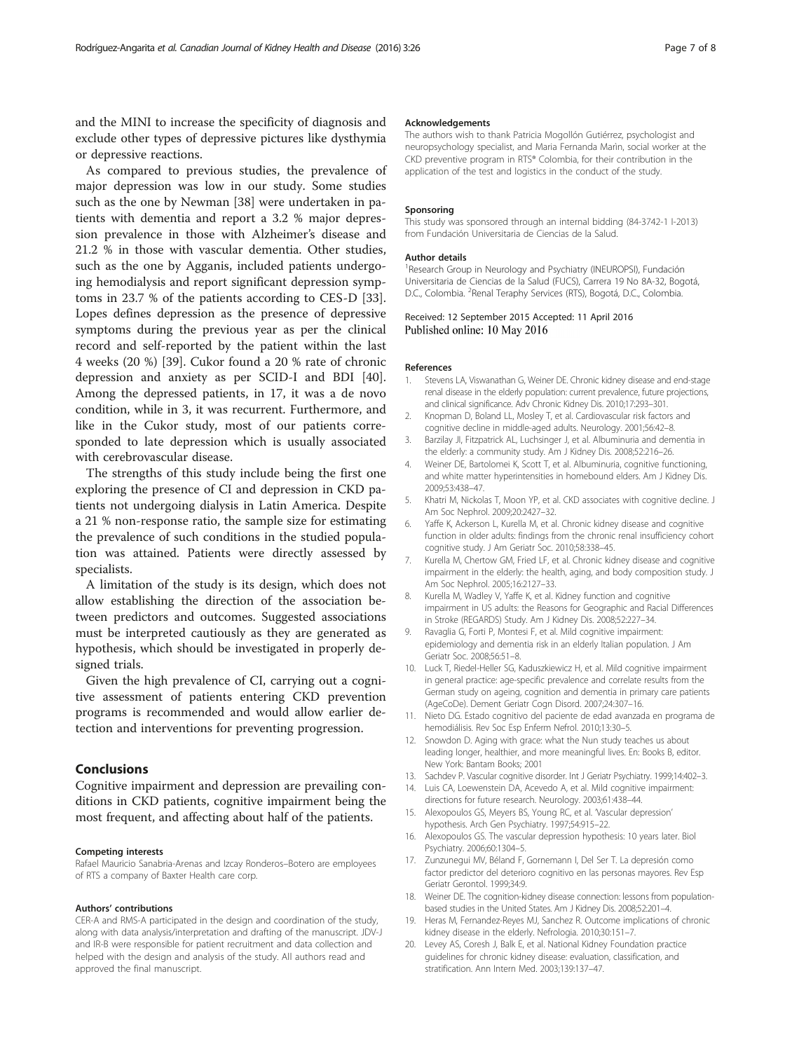<span id="page-6-0"></span>and the MINI to increase the specificity of diagnosis and exclude other types of depressive pictures like dysthymia or depressive reactions.

As compared to previous studies, the prevalence of major depression was low in our study. Some studies such as the one by Newman [[38\]](#page-7-0) were undertaken in patients with dementia and report a 3.2 % major depression prevalence in those with Alzheimer's disease and 21.2 % in those with vascular dementia. Other studies, such as the one by Agganis, included patients undergoing hemodialysis and report significant depression symptoms in 23.7 % of the patients according to CES-D [\[33](#page-7-0)]. Lopes defines depression as the presence of depressive symptoms during the previous year as per the clinical record and self-reported by the patient within the last 4 weeks (20 %) [[39\]](#page-7-0). Cukor found a 20 % rate of chronic depression and anxiety as per SCID-I and BDI [\[40](#page-7-0)]. Among the depressed patients, in 17, it was a de novo condition, while in 3, it was recurrent. Furthermore, and like in the Cukor study, most of our patients corresponded to late depression which is usually associated with cerebrovascular disease.

The strengths of this study include being the first one exploring the presence of CI and depression in CKD patients not undergoing dialysis in Latin America. Despite a 21 % non-response ratio, the sample size for estimating the prevalence of such conditions in the studied population was attained. Patients were directly assessed by specialists.

A limitation of the study is its design, which does not allow establishing the direction of the association between predictors and outcomes. Suggested associations must be interpreted cautiously as they are generated as hypothesis, which should be investigated in properly designed trials.

Given the high prevalence of CI, carrying out a cognitive assessment of patients entering CKD prevention programs is recommended and would allow earlier detection and interventions for preventing progression.

## Conclusions

Cognitive impairment and depression are prevailing conditions in CKD patients, cognitive impairment being the most frequent, and affecting about half of the patients.

#### Competing interests

Rafael Mauricio Sanabria-Arenas and Izcay Ronderos–Botero are employees of RTS a company of Baxter Health care corp.

#### Authors' contributions

CER-A and RMS-A participated in the design and coordination of the study, along with data analysis/interpretation and drafting of the manuscript. JDV-J and IR-B were responsible for patient recruitment and data collection and helped with the design and analysis of the study. All authors read and approved the final manuscript.

#### Acknowledgements

The authors wish to thank Patricia Mogollón Gutiérrez, psychologist and neuropsychology specialist, and Maria Fernanda Marìn, social worker at the CKD preventive program in RTS® Colombia, for their contribution in the application of the test and logistics in the conduct of the study.

#### Sponsoring

This study was sponsored through an internal bidding (84-3742-1 I-2013) from Fundación Universitaria de Ciencias de la Salud.

#### Author details

<sup>1</sup> Research Group in Neurology and Psychiatry (INEUROPSI), Fundación Universitaria de Ciencias de la Salud (FUCS), Carrera 19 No 8A-32, Bogotá, D.C., Colombia. <sup>2</sup>Renal Teraphy Services (RTS), Bogotá, D.C., Colombia.

#### Received: 12 September 2015 Accepted: 11 April 2016 Published online: 10 May 2016

#### References

- 1. Stevens LA, Viswanathan G, Weiner DE. Chronic kidney disease and end-stage renal disease in the elderly population: current prevalence, future projections, and clinical significance. Adv Chronic Kidney Dis. 2010;17:293–301.
- 2. Knopman D, Boland LL, Mosley T, et al. Cardiovascular risk factors and cognitive decline in middle-aged adults. Neurology. 2001;56:42–8.
- 3. Barzilay JI, Fitzpatrick AL, Luchsinger J, et al. Albuminuria and dementia in the elderly: a community study. Am J Kidney Dis. 2008;52:216–26.
- 4. Weiner DE, Bartolomei K, Scott T, et al. Albuminuria, cognitive functioning, and white matter hyperintensities in homebound elders. Am J Kidney Dis. 2009;53:438–47.
- 5. Khatri M, Nickolas T, Moon YP, et al. CKD associates with cognitive decline. J Am Soc Nephrol. 2009;20:2427–32.
- 6. Yaffe K, Ackerson L, Kurella M, et al. Chronic kidney disease and cognitive function in older adults: findings from the chronic renal insufficiency cohort cognitive study. J Am Geriatr Soc. 2010;58:338–45.
- 7. Kurella M, Chertow GM, Fried LF, et al. Chronic kidney disease and cognitive impairment in the elderly: the health, aging, and body composition study. J Am Soc Nephrol. 2005;16:2127–33.
- 8. Kurella M, Wadley V, Yaffe K, et al. Kidney function and cognitive impairment in US adults: the Reasons for Geographic and Racial Differences in Stroke (REGARDS) Study. Am J Kidney Dis. 2008;52:227–34.
- 9. Ravaglia G, Forti P, Montesi F, et al. Mild cognitive impairment: epidemiology and dementia risk in an elderly Italian population. J Am Geriatr Soc. 2008;56:51–8.
- 10. Luck T, Riedel-Heller SG, Kaduszkiewicz H, et al. Mild cognitive impairment in general practice: age-specific prevalence and correlate results from the German study on ageing, cognition and dementia in primary care patients (AgeCoDe). Dement Geriatr Cogn Disord. 2007;24:307–16.
- 11. Nieto DG. Estado cognitivo del paciente de edad avanzada en programa de hemodiálisis. Rev Soc Esp Enferm Nefrol. 2010;13:30–5.
- 12. Snowdon D. Aging with grace: what the Nun study teaches us about leading longer, healthier, and more meaningful lives. En: Books B, editor. New York: Bantam Books; 2001
- 13. Sachdev P. Vascular cognitive disorder. Int J Geriatr Psychiatry. 1999;14:402–3.
- 14. Luis CA, Loewenstein DA, Acevedo A, et al. Mild cognitive impairment: directions for future research. Neurology. 2003;61:438–44.
- 15. Alexopoulos GS, Meyers BS, Young RC, et al. Vascular depression' hypothesis. Arch Gen Psychiatry. 1997;54:915–22.
- 16. Alexopoulos GS. The vascular depression hypothesis: 10 years later. Biol Psychiatry. 2006;60:1304–5.
- 17. Zunzunegui MV, Béland F, Gornemann I, Del Ser T. La depresión como factor predictor del deterioro cognitivo en las personas mayores. Rev Esp Geriatr Gerontol. 1999;34:9.
- 18. Weiner DE. The cognition-kidney disease connection: lessons from populationbased studies in the United States. Am J Kidney Dis. 2008;52:201–4.
- 19. Heras M, Fernandez-Reyes MJ, Sanchez R. Outcome implications of chronic kidney disease in the elderly. Nefrologia. 2010;30:151–7.
- 20. Levey AS, Coresh J, Balk E, et al. National Kidney Foundation practice guidelines for chronic kidney disease: evaluation, classification, and stratification. Ann Intern Med. 2003;139:137–47.